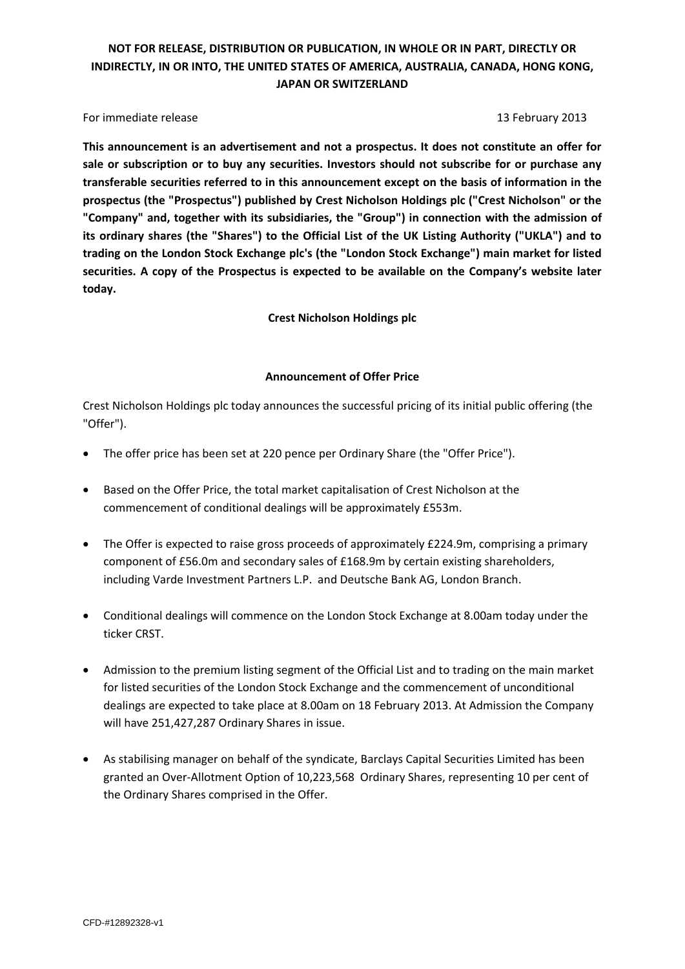For immediate release 13 February 2013

**This announcement is an advertisement and not a prospectus. It does not constitute an offer for sale or subscription or to buy any securities. Investors should not subscribe for or purchase any transferable securities referred to in this announcement except on the basis of information in the prospectus (the "Prospectus") published by Crest Nicholson Holdings plc ("Crest Nicholson" or the "Company" and, together with its subsidiaries, the "Group") in connection with the admission of its ordinary shares (the "Shares") to the Official List of the UK Listing Authority ("UKLA") and to trading on the London Stock Exchange plc's (the "London Stock Exchange") main market for listed securities. A copy of the Prospectus is expected to be available on the Company's website later today.**

**Crest Nicholson Holdings plc**

#### **Announcement of Offer Price**

Crest Nicholson Holdings plc today announces the successful pricing of its initial public offering (the "Offer").

- The offer price has been set at 220 pence per Ordinary Share (the "Offer Price").
- Based on the Offer Price, the total market capitalisation of Crest Nicholson at the commencement of conditional dealings will be approximately £553m.
- The Offer is expected to raise gross proceeds of approximately £224.9m, comprising a primary component of £56.0m and secondary sales of £168.9m by certain existing shareholders, including Varde Investment Partners L.P. and Deutsche Bank AG, London Branch.
- Conditional dealings will commence on the London Stock Exchange at 8.00am today under the ticker CRST.
- Admission to the premium listing segment of the Official List and to trading on the main market for listed securities of the London Stock Exchange and the commencement of unconditional dealings are expected to take place at 8.00am on 18 February 2013. At Admission the Company will have 251,427,287 Ordinary Shares in issue.
- As stabilising manager on behalf of the syndicate, Barclays Capital Securities Limited has been granted an Over-Allotment Option of 10,223,568 Ordinary Shares, representing 10 per cent of the Ordinary Shares comprised in the Offer.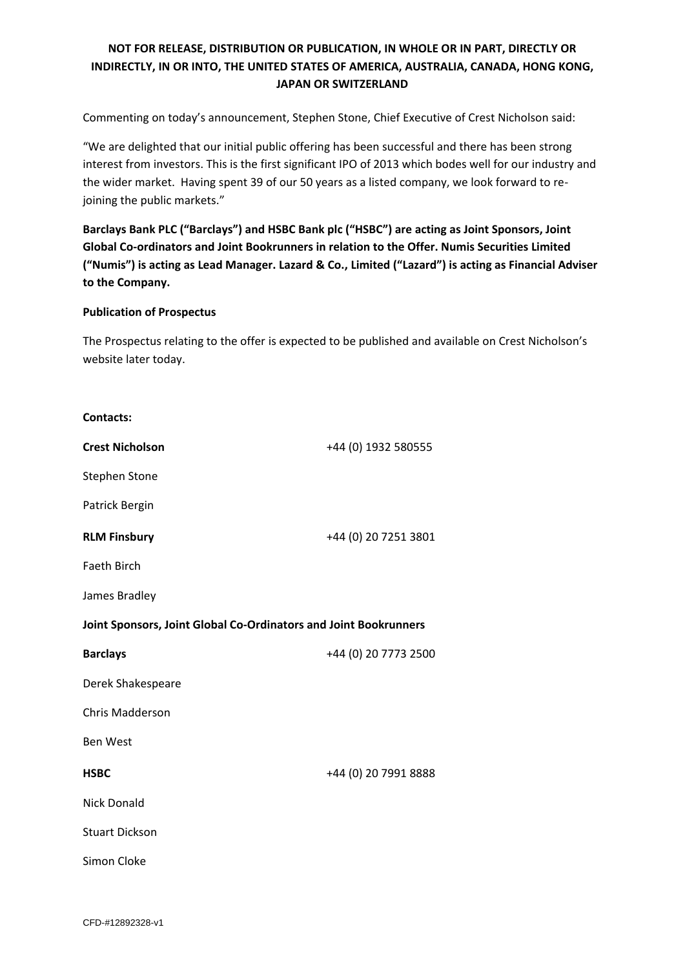Commenting on today's announcement, Stephen Stone, Chief Executive of Crest Nicholson said:

"We are delighted that our initial public offering has been successful and there has been strong interest from investors. This is the first significant IPO of 2013 which bodes well for our industry and the wider market. Having spent 39 of our 50 years as a listed company, we look forward to rejoining the public markets."

**Barclays Bank PLC ("Barclays") and HSBC Bank plc ("HSBC") are acting as Joint Sponsors, Joint Global Co-ordinators and Joint Bookrunners in relation to the Offer. Numis Securities Limited ("Numis") is acting as Lead Manager. Lazard & Co., Limited ("Lazard") is acting as Financial Adviser to the Company.**

#### **Publication of Prospectus**

The Prospectus relating to the offer is expected to be published and available on Crest Nicholson's website later today.

| <b>Contacts:</b>                                                 |                      |  |
|------------------------------------------------------------------|----------------------|--|
| <b>Crest Nicholson</b>                                           | +44 (0) 1932 580555  |  |
| <b>Stephen Stone</b>                                             |                      |  |
| Patrick Bergin                                                   |                      |  |
| <b>RLM Finsbury</b>                                              | +44 (0) 20 7251 3801 |  |
| <b>Faeth Birch</b>                                               |                      |  |
| James Bradley                                                    |                      |  |
| Joint Sponsors, Joint Global Co-Ordinators and Joint Bookrunners |                      |  |
| <b>Barclays</b>                                                  | +44 (0) 20 7773 2500 |  |
| Derek Shakespeare                                                |                      |  |
| <b>Chris Madderson</b>                                           |                      |  |
| <b>Ben West</b>                                                  |                      |  |
| <b>HSBC</b>                                                      | +44 (0) 20 7991 8888 |  |
| <b>Nick Donald</b>                                               |                      |  |
| <b>Stuart Dickson</b>                                            |                      |  |
| Simon Cloke                                                      |                      |  |
|                                                                  |                      |  |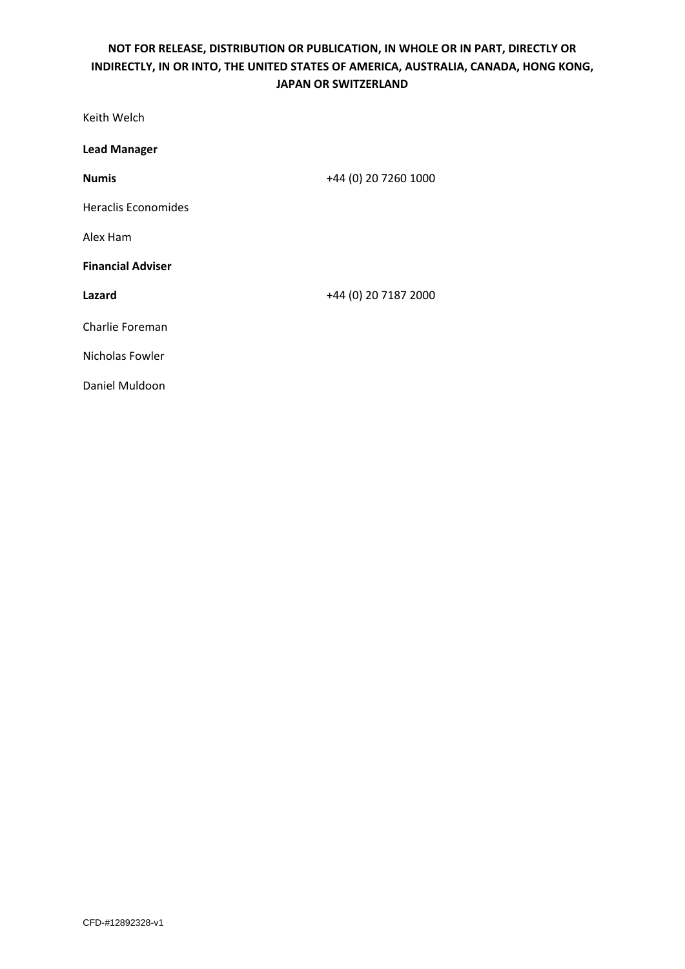| Keith Welch                |                      |
|----------------------------|----------------------|
| <b>Lead Manager</b>        |                      |
| <b>Numis</b>               | +44 (0) 20 7260 1000 |
| <b>Heraclis Economides</b> |                      |
| Alex Ham                   |                      |
| <b>Financial Adviser</b>   |                      |
| Lazard                     | +44 (0) 20 7187 2000 |
| Charlie Foreman            |                      |
| Nicholas Fowler            |                      |
| Daniel Muldoon             |                      |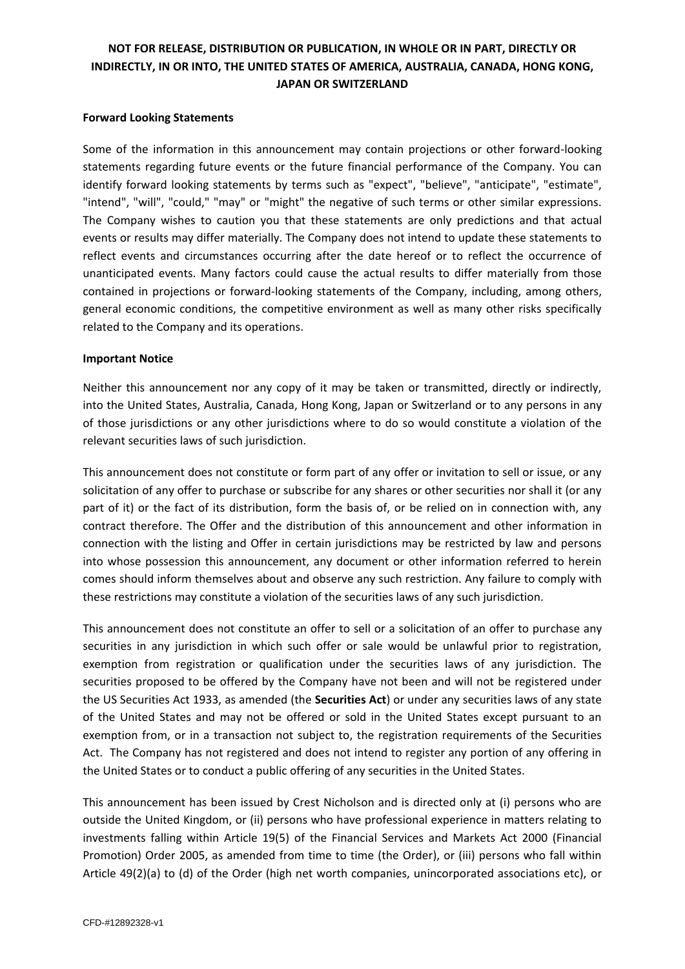#### **Forward Looking Statements**

Some of the information in this announcement may contain projections or other forward-looking statements regarding future events or the future financial performance of the Company. You can identify forward looking statements by terms such as "expect", "believe", "anticipate", "estimate", "intend", "will", "could," "may" or "might" the negative of such terms or other similar expressions. The Company wishes to caution you that these statements are only predictions and that actual events or results may differ materially. The Company does not intend to update these statements to reflect events and circumstances occurring after the date hereof or to reflect the occurrence of unanticipated events. Many factors could cause the actual results to differ materially from those contained in projections or forward-looking statements of the Company, including, among others, general economic conditions, the competitive environment as well as many other risks specifically related to the Company and its operations.

#### **Important Notice**

Neither this announcement nor any copy of it may be taken or transmitted, directly or indirectly, into the United States, Australia, Canada, Hong Kong, Japan or Switzerland or to any persons in any of those jurisdictions or any other jurisdictions where to do so would constitute a violation of the relevant securities laws of such jurisdiction.

This announcement does not constitute or form part of any offer or invitation to sell or issue, or any solicitation of any offer to purchase or subscribe for any shares or other securities nor shall it (or any part of it) or the fact of its distribution, form the basis of, or be relied on in connection with, any contract therefore. The Offer and the distribution of this announcement and other information in connection with the listing and Offer in certain jurisdictions may be restricted by law and persons into whose possession this announcement, any document or other information referred to herein comes should inform themselves about and observe any such restriction. Any failure to comply with these restrictions may constitute a violation of the securities laws of any such jurisdiction.

This announcement does not constitute an offer to sell or a solicitation of an offer to purchase any securities in any jurisdiction in which such offer or sale would be unlawful prior to registration, exemption from registration or qualification under the securities laws of any jurisdiction. The securities proposed to be offered by the Company have not been and will not be registered under the US Securities Act 1933, as amended (the **Securities Act**) or under any securities laws of any state of the United States and may not be offered or sold in the United States except pursuant to an exemption from, or in a transaction not subject to, the registration requirements of the Securities Act. The Company has not registered and does not intend to register any portion of any offering in the United States or to conduct a public offering of any securities in the United States.

This announcement has been issued by Crest Nicholson and is directed only at (i) persons who are outside the United Kingdom, or (ii) persons who have professional experience in matters relating to investments falling within Article 19(5) of the Financial Services and Markets Act 2000 (Financial Promotion) Order 2005, as amended from time to time (the Order), or (iii) persons who fall within Article 49(2)(a) to (d) of the Order (high net worth companies, unincorporated associations etc), or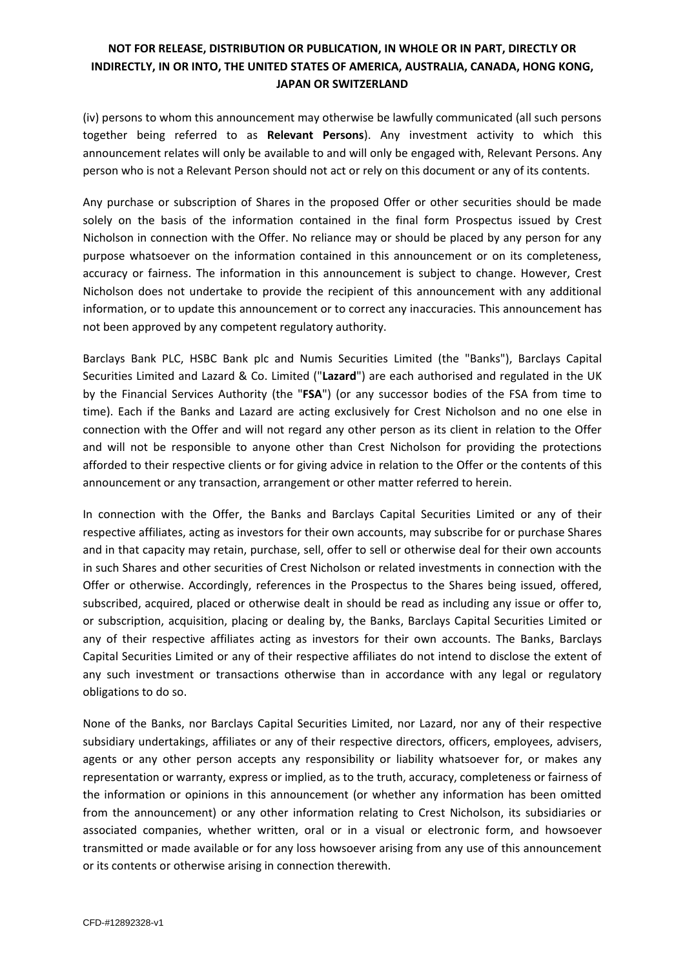(iv) persons to whom this announcement may otherwise be lawfully communicated (all such persons together being referred to as **Relevant Persons**). Any investment activity to which this announcement relates will only be available to and will only be engaged with, Relevant Persons. Any person who is not a Relevant Person should not act or rely on this document or any of its contents.

Any purchase or subscription of Shares in the proposed Offer or other securities should be made solely on the basis of the information contained in the final form Prospectus issued by Crest Nicholson in connection with the Offer. No reliance may or should be placed by any person for any purpose whatsoever on the information contained in this announcement or on its completeness, accuracy or fairness. The information in this announcement is subject to change. However, Crest Nicholson does not undertake to provide the recipient of this announcement with any additional information, or to update this announcement or to correct any inaccuracies. This announcement has not been approved by any competent regulatory authority.

Barclays Bank PLC, HSBC Bank plc and Numis Securities Limited (the "Banks"), Barclays Capital Securities Limited and Lazard & Co. Limited ("**Lazard**") are each authorised and regulated in the UK by the Financial Services Authority (the "**FSA**") (or any successor bodies of the FSA from time to time). Each if the Banks and Lazard are acting exclusively for Crest Nicholson and no one else in connection with the Offer and will not regard any other person as its client in relation to the Offer and will not be responsible to anyone other than Crest Nicholson for providing the protections afforded to their respective clients or for giving advice in relation to the Offer or the contents of this announcement or any transaction, arrangement or other matter referred to herein.

In connection with the Offer, the Banks and Barclays Capital Securities Limited or any of their respective affiliates, acting as investors for their own accounts, may subscribe for or purchase Shares and in that capacity may retain, purchase, sell, offer to sell or otherwise deal for their own accounts in such Shares and other securities of Crest Nicholson or related investments in connection with the Offer or otherwise. Accordingly, references in the Prospectus to the Shares being issued, offered, subscribed, acquired, placed or otherwise dealt in should be read as including any issue or offer to, or subscription, acquisition, placing or dealing by, the Banks, Barclays Capital Securities Limited or any of their respective affiliates acting as investors for their own accounts. The Banks, Barclays Capital Securities Limited or any of their respective affiliates do not intend to disclose the extent of any such investment or transactions otherwise than in accordance with any legal or regulatory obligations to do so.

None of the Banks, nor Barclays Capital Securities Limited, nor Lazard, nor any of their respective subsidiary undertakings, affiliates or any of their respective directors, officers, employees, advisers, agents or any other person accepts any responsibility or liability whatsoever for, or makes any representation or warranty, express or implied, as to the truth, accuracy, completeness or fairness of the information or opinions in this announcement (or whether any information has been omitted from the announcement) or any other information relating to Crest Nicholson, its subsidiaries or associated companies, whether written, oral or in a visual or electronic form, and howsoever transmitted or made available or for any loss howsoever arising from any use of this announcement or its contents or otherwise arising in connection therewith.